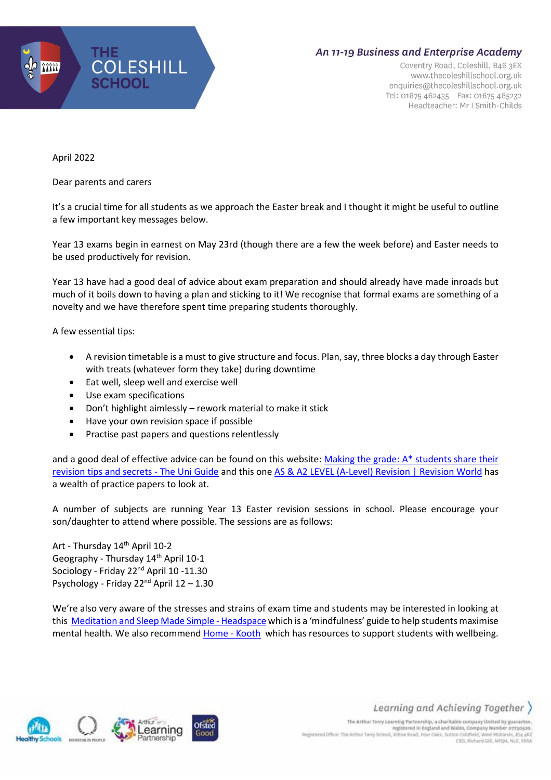

## An 11-19 Business and Enterprise Academy

Coventry Road, Coleshill, B46 3EX www.thecoleshillschool.org.uk enquiries@thecoleshillschool.org.uk Tel: 01675 462435 Fax: 01675 465232 Headteacher: Mr I Smith-Childs

April 2022

Dear parents and carers

It's a crucial time for all students as we approach the Easter break and I thought it might be useful to outline a few important key messages below.

Year 13 exams begin in earnest on May 23rd (though there are a few the week before) and Easter needs to be used productively for revision.

Year 13 have had a good deal of advice about exam preparation and should already have made inroads but much of it boils down to having a plan and sticking to it! We recognise that formal exams are something of a novelty and we have therefore spent time preparing students thoroughly.

A few essential tips:

- A revision timetable is a must to give structure and focus. Plan, say, three blocks a day through Easter with treats (whatever form they take) during downtime
- Eat well, sleep well and exercise well
- Use exam specifications
- Don't highlight aimlessly rework material to make it stick
- Have your own revision space if possible
- Practise past papers and questions relentlessly

and a good deal of effective advice can be found on this website: Making the grade: A\* [students](https://www.theuniguide.co.uk/advice/ucas-application/revision-exams-making-the-grade) share their [revision](https://www.theuniguide.co.uk/advice/ucas-application/revision-exams-making-the-grade) tips and secrets - The Uni Guide and this one AS & A2 LEVEL [\(A-Level\)](https://revisionworld.com/a2-level-level-revision) Revision | Revision World has a wealth of practice papers to look at.

A number of subjects are running Year 13 Easter revision sessions in school. Please encourage your son/daughter to attend where possible. The sessions are as follows:

Art - Thursday 14<sup>th</sup> April 10-2 Geography - Thursday 14<sup>th</sup> April 10-1 Sociology - Friday 22<sup>nd</sup> April 10 -11.30 Psychology - Friday 22nd April 12 – 1.30

We're also very aware of the stresses and strains of exam time and students may be interested in looking at this [Meditation](https://www.headspace.com/) and Sleep Made Simple - Headspace which is a 'mindfulness' guide to help students maximise mental health. We also recommend [Home](https://www.kooth.com/) - Kooth which has resources to support students with wellbeing.



Learning and Achieving Together )

The Arthur Terry Learning Partnership, a charitable company limited by guarantee, registered in England and Wales, Company Number 07730920. Registered Office: The Arthur Terry School, Kittoe Road, Four Oaks, Sutton Coldfield, West Midlands, 874 aRZ CEO, Richard Gill, NPQH, NLE, FRSA